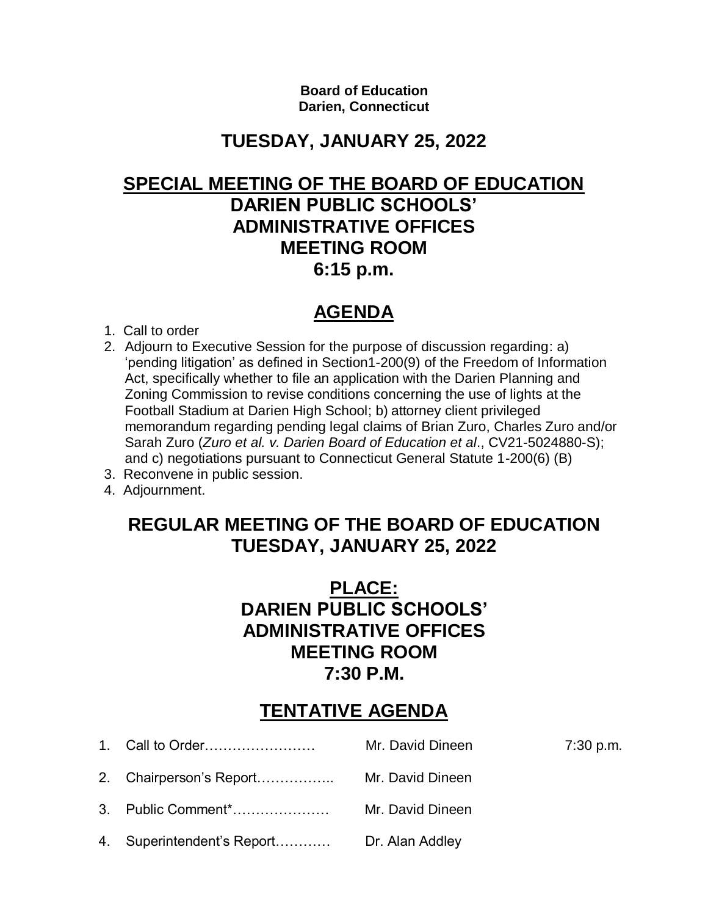**Board of Education Darien, Connecticut**

## **TUESDAY, JANUARY 25, 2022**

### **SPECIAL MEETING OF THE BOARD OF EDUCATION DARIEN PUBLIC SCHOOLS' ADMINISTRATIVE OFFICES MEETING ROOM 6:15 p.m.**

# **AGENDA**

- 1. Call to order
- 2. Adjourn to Executive Session for the purpose of discussion regarding: a) 'pending litigation' as defined in Section1-200(9) of the Freedom of Information Act, specifically whether to file an application with the Darien Planning and Zoning Commission to revise conditions concerning the use of lights at the Football Stadium at Darien High School; b) attorney client privileged memorandum regarding pending legal claims of Brian Zuro, Charles Zuro and/or Sarah Zuro (*Zuro et al. v. Darien Board of Education et al*., CV21-5024880-S); and c) negotiations pursuant to Connecticut General Statute 1-200(6) (B)
- 3. Reconvene in public session.
- 4. Adjournment.

## **REGULAR MEETING OF THE BOARD OF EDUCATION TUESDAY, JANUARY 25, 2022**

## **PLACE: DARIEN PUBLIC SCHOOLS' ADMINISTRATIVE OFFICES MEETING ROOM 7:30 P.M.**

## **TENTATIVE AGENDA**

 1. Call to Order…………………… Mr. David Dineen 7:30 p.m. 2. Chairperson's Report…………….. Mr. David Dineen 3. Public Comment\*………………… Mr. David Dineen 4. Superintendent's Report………… Dr. Alan Addley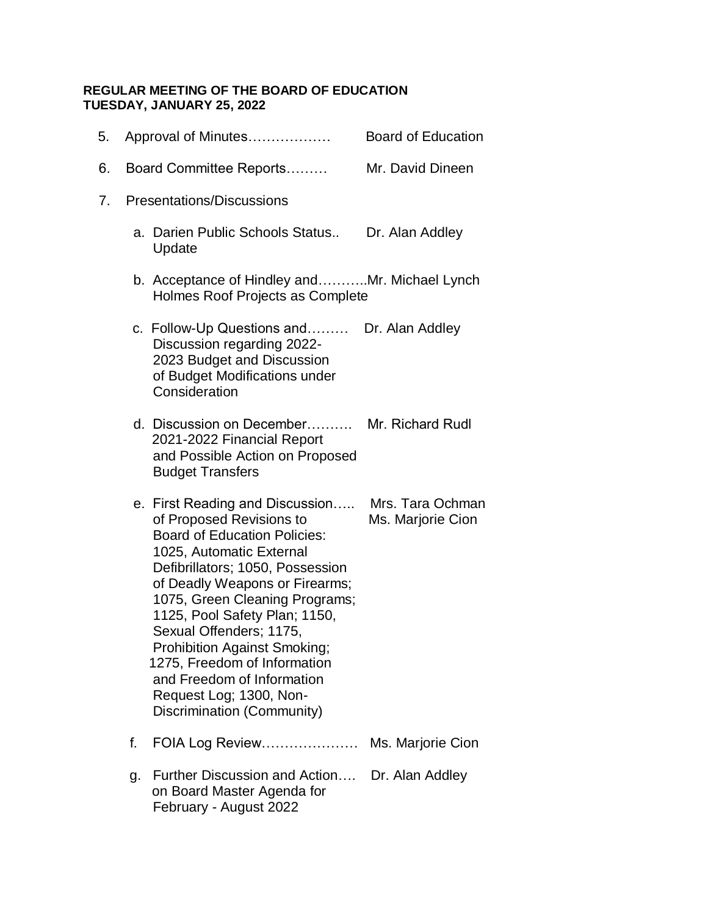### **REGULAR MEETING OF THE BOARD OF EDUCATION TUESDAY, JANUARY 25, 2022**

|    | 5. |                           | Approval of Minutes                                                                                                                                                                                                                                                                                                                                                                                                                                              | <b>Board of Education</b>             |  |
|----|----|---------------------------|------------------------------------------------------------------------------------------------------------------------------------------------------------------------------------------------------------------------------------------------------------------------------------------------------------------------------------------------------------------------------------------------------------------------------------------------------------------|---------------------------------------|--|
|    | 6. |                           | Board Committee Reports                                                                                                                                                                                                                                                                                                                                                                                                                                          | Mr. David Dineen                      |  |
| 7. |    | Presentations/Discussions |                                                                                                                                                                                                                                                                                                                                                                                                                                                                  |                                       |  |
|    |    |                           | a. Darien Public Schools Status<br>Update                                                                                                                                                                                                                                                                                                                                                                                                                        | Dr. Alan Addley                       |  |
|    |    |                           | b. Acceptance of Hindley andMr. Michael Lynch<br>Holmes Roof Projects as Complete                                                                                                                                                                                                                                                                                                                                                                                |                                       |  |
|    |    |                           | c. Follow-Up Questions and Dr. Alan Addley<br>Discussion regarding 2022-<br>2023 Budget and Discussion<br>of Budget Modifications under<br>Consideration                                                                                                                                                                                                                                                                                                         |                                       |  |
|    |    |                           | d. Discussion on December Mr. Richard Rudl<br>2021-2022 Financial Report<br>and Possible Action on Proposed<br><b>Budget Transfers</b>                                                                                                                                                                                                                                                                                                                           |                                       |  |
|    |    |                           | e. First Reading and Discussion<br>of Proposed Revisions to<br><b>Board of Education Policies:</b><br>1025, Automatic External<br>Defibrillators; 1050, Possession<br>of Deadly Weapons or Firearms;<br>1075, Green Cleaning Programs;<br>1125, Pool Safety Plan; 1150,<br>Sexual Offenders; 1175,<br><b>Prohibition Against Smoking;</b><br>1275, Freedom of Information<br>and Freedom of Information<br>Request Log; 1300, Non-<br>Discrimination (Community) | Mrs. Tara Ochman<br>Ms. Marjorie Cion |  |
|    |    | f.                        | FOIA Log Review Ms. Marjorie Cion                                                                                                                                                                                                                                                                                                                                                                                                                                |                                       |  |
|    |    | g.                        | Further Discussion and Action Dr. Alan Addley<br>on Board Master Agenda for<br>February - August 2022                                                                                                                                                                                                                                                                                                                                                            |                                       |  |